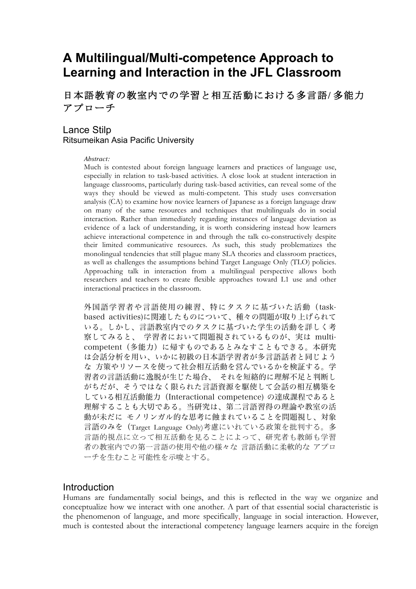# **A Multilingual/Multi-competence Approach to Learning and Interaction in the JFL Classroom**

日本語教育の教室内での学習と相互活動における多言語**/** 多能力 アプローチ

## Lance Stilp Ritsumeikan Asia Pacific University

#### *Abstract:*

Much is contested about foreign language learners and practices of language use, especially in relation to task-based activities. A close look at student interaction in language classrooms, particularly during task-based activities, can reveal some of the ways they should be viewed as multi-competent. This study uses conversation analysis (CA) to examine how novice learners of Japanese as a foreign language draw on many of the same resources and techniques that multilinguals do in social interaction. Rather than immediately regarding instances of language deviation as evidence of a lack of understanding, it is worth considering instead how learners achieve interactional competence in and through the talk co-constructively despite their limited communicative resources. As such, this study problematizes the monolingual tendencies that still plague many SLA theories and classroom practices, as well as challenges the assumptions behind Target Language Only (TLO) policies. Approaching talk in interaction from a multilingual perspective allows both researchers and teachers to create flexible approaches toward L1 use and other interactional practices in the classroom.

外国語学習者や言語使用の練習、特にタスクに基づいた活動(taskbased activities)に関連したものについて、種々の問題が取り上げられて いる。しかし、言語教室内でのタスクに基づいた学生の活動を詳しく考 察してみると、 学習者において問題視されているものが、実は multicompetent (多能力) に帰すものであるとみなすこともできる。本研究 は会話分析を用い、いかに初級の日本語学習者が多言語話者と同じよう な 方策やリソースを使って社会相互活動を営んでいるかを検証する。学 習者の言語活動に逸脱が生じた場合、 それを短絡的に理解不足と判断し がちだが、そうではなく限られた言語資源を駆使して会話の相互構築を している相互活動能力(Interactional competence) の達成課程であると 理解することも大切である。当研究は、第二言語習得の理論や教室の活 動が未だに モノリンガル的な思考に蝕まれていることを問題視し、対象 言語のみを(Target Language Only)考慮にいれている政策を批判する。多 言語的視点に立って相互活動を見ることによって、研究者も教師も学習 者の教室内での第一言語の使用や他の様々な 言語活動に柔軟的な アプロ ーチを生むこと可能性を示唆とする。

### **Introduction**

Humans are fundamentally social beings, and this is reflected in the way we organize and conceptualize how we interact with one another. A part of that essential social characteristic is the phenomenon of language, and more specifically, language in social interaction. However, much is contested about the interactional competency language learners acquire in the foreign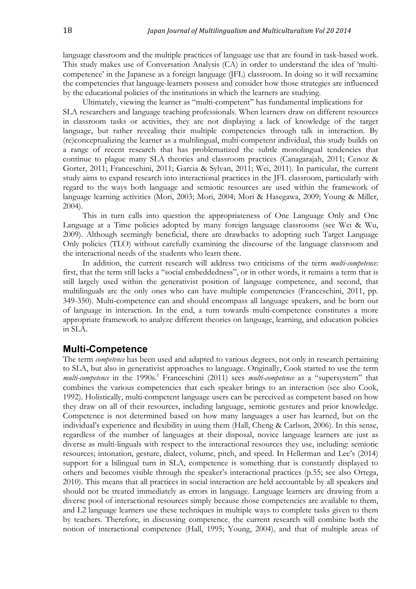language classroom and the multiple practices of language use that are found in task-based work. This study makes use of Conversation Analysis (CA) in order to understand the idea of 'multicompetence' in the Japanese as a foreign language (JFL) classroom. In doing so it will reexamine the competencies that language-learners possess and consider how those strategies are influenced by the educational policies of the institutions in which the learners are studying.

Ultimately, viewing the learner as "multi-competent" has fundamental implications for SLA researchers and language teaching professionals. When learners draw on different resources in classroom tasks or activities, they are not displaying a lack of knowledge of the target language, but rather revealing their multiple competencies through talk in interaction. By (re)conceptualizing the learner as a multilingual, multi-competent individual, this study builds on a range of recent research that has problematized the subtle monolingual tendencies that continue to plague many SLA theories and classroom practices (Canagarajah, 2011; Cenoz & Gorter, 2011; Franceschini, 2011; Garcia & Sylvan, 2011; Wei, 2011). In particular, the current study aims to expand research into interactional practices in the JFL classroom, particularly with regard to the ways both language and semiotic resources are used within the framework of language learning activities (Mori, 2003; Mori, 2004; Mori & Hasegawa, 2009; Young & Miller, 2004).

This in turn calls into question the appropriateness of One Language Only and One Language at a Time policies adopted by many foreign language classrooms (see Wei & Wu, 2009). Although seemingly beneficial, there are drawbacks to adopting such Target Language Only policies (TLO) without carefully examining the discourse of the language classroom and the interactional needs of the students who learn there.

In addition, the current research will address two criticisms of the term *multi-competence:* first, that the term still lacks a "social embeddedness", or in other words, it remains a term that is still largely used within the generativist position of language competence, and second, that multilinguals are the only ones who can have multiple competencies (Franceschini, 2011, pp. 349-350). Multi-competence can and should encompass all language speakers, and be born out of language in interaction. In the end, a turn towards multi-competence constitutes a more appropriate framework to analyze different theories on language, learning, and education policies in SLA.

### **Multi-Competence**

The term *competence* has been used and adapted to various degrees, not only in research pertaining to SLA, but also in generativist approaches to language. Originally, Cook started to use the term *multi-competence* in the 1990s.<sup>1</sup> Franceschini (2011) sees *multi-competence* as a "supersystem" that combines the various competencies that each speaker brings to an interaction (see also Cook, 1992). Holistically, multi-competent language users can be perceived as competent based on how they draw on all of their resources, including language, semiotic gestures and prior knowledge. Competence is not determined based on how many languages a user has learned, but on the individual's experience and flexibility in using them (Hall, Cheng & Carlson, 2006). In this sense, regardless of the number of languages at their disposal, novice language learners are just as diverse as multi-linguals with respect to the interactional resources they use, including: semiotic resources; intonation, gesture, dialect, volume, pitch, and speed. In Hellerman and Lee's (2014) support for a bilingual turn in SLA, competence is something that is constantly displayed to others and becomes visible through the speaker's interactional practices (p.55; see also Ortega, 2010). This means that all practices in social interaction are held accountable by all speakers and should not be treated immediately as errors in language. Language learners are drawing from a diverse pool of interactional resources simply because those competencies are available to them, and L2 language learners use these techniques in multiple ways to complete tasks given to them by teachers. Therefore, in discussing competence, the current research will combine both the notion of interactional competence (Hall, 1995; Young, 2004), and that of multiple areas of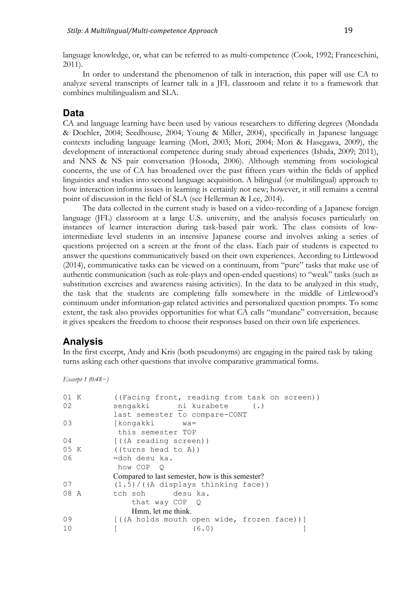language knowledge, or, what can be referred to as multi-competence (Cook, 1992; Franceschini, 2011).

In order to understand the phenomenon of talk in interaction, this paper will use CA to analyze several transcripts of learner talk in a JFL classroom and relate it to a framework that combines multilingualism and SLA.

### **Data**

CA and language learning have been used by various researchers to differing degrees (Mondada & Doehler, 2004; Seedhouse, 2004; Young & Miller, 2004), specifically in Japanese language contexts including language learning (Mori, 2003; Mori, 2004; Mori & Hasegawa, 2009), the development of interactional competence during study abroad experiences (Ishida, 2009; 2011), and NNS & NS pair conversation (Hosoda, 2006). Although stemming from sociological concerns, the use of CA has broadened over the past fifteen years within the fields of applied linguistics and studies into second language acquisition. A bilingual (or multilingual) approach to how interaction informs issues in learning is certainly not new; however, it still remains a central point of discussion in the field of SLA (see Hellerman & Lee, 2014).

The data collected in the current study is based on a video-recording of a Japanese foreign language (JFL) classroom at a large U.S. university, and the analysis focuses particularly on instances of learner interaction during task-based pair work. The class consists of lowintermediate level students in an intensive Japanese course and involves asking a series of questions projected on a screen at the front of the class. Each pair of students is expected to answer the questions communicatively based on their own experiences. According to Littlewood (2014), communicative tasks can be viewed on a continuum, from "pure" tasks that make use of authentic communication (such as role-plays and open-ended questions) to "weak" tasks (such as substitution exercises and awareness raising activities). In the data to be analyzed in this study, the task that the students are completing falls somewhere in the middle of Littlewood's continuum under information-gap related activities and personalized question prompts. To some extent, the task also provides opportunities for what CA calls "mundane" conversation, because it gives speakers the freedom to choose their responses based on their own life experiences.

### **Analysis**

In the first excerpt, Andy and Kris (both pseudonyms) are engaging in the paired task by taking turns asking each other questions that involve comparative grammatical forms.

*Excerpt 1 (0:48~)*

| 01 K | ((Facing front, reading from task on screen))    |
|------|--------------------------------------------------|
| 02   | sengakki ni kurabete<br>$(\cdot)$                |
|      | last semester to compare-CONT                    |
| 03   | [kongakki<br>$wa =$                              |
|      | this semester TOP                                |
| 04   | $[$ ((A reading screen))                         |
| 05 K | ((turns head to A))                              |
| 06   | =doh desu ka.                                    |
|      | how COP 0                                        |
|      | Compared to last semester, how is this semester? |
| 07   | $(1.5) / ((A display)$ displays thinking face))  |
| 08 A | tch soh desuka.                                  |
|      | that way COP Q                                   |
|      | Hmm, let me think.                               |
| 09   | [((A holds mouth open wide, frozen face))]       |
| 10   | (6.0)                                            |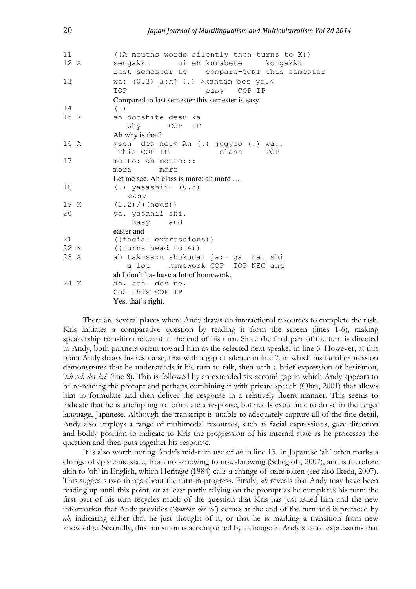| 11   | ((A mouths words silently then turns to K))       |
|------|---------------------------------------------------|
| 12 A | ni eh kurabete<br>kongakki<br>sengakki            |
|      | Last semester to compare-CONT this semester       |
| 13   | wa: $(0.3)$ a:h $\uparrow$ (.) > kantan des yo. < |
|      | TOP<br>easy COP IP                                |
|      | Compared to last semester this semester is easy.  |
| 14   | $(\cdot, \cdot)$                                  |
| 15 K | ah dooshite desu ka                               |
|      | why<br><b>COP</b><br>IP                           |
|      | Ah why is that?                                   |
| 16 A | >soh des ne.< Ah (.) jugyoo (.) wa:,              |
|      | This COP IP<br>class<br>TOP                       |
| 17   | motto: ah motto:::                                |
|      | more<br>more                                      |
|      | Let me see. Ah class is more: ah more             |
| 18   | $(.)$ yasashii- $(0.5)$                           |
|      | easy                                              |
| 19 K | $(1.2) / ((\text{nodes}))$                        |
| 20   | ya. yasahii shi.                                  |
|      | Easy and                                          |
|      | easier and                                        |
| 21   | ((facial expressions))                            |
| 22 K | ((turns head to A))                               |
| 23 A | ah takusa:n shukudai ja:- ga nai shi              |
|      | homework COP TOP NEG and<br>a lot                 |
|      | ah I don't ha- have a lot of homework.            |
| 24 K | ah, soh des ne,                                   |
|      | CoS this COP IP                                   |
|      | Yes, that's right.                                |
|      |                                                   |

There are several places where Andy draws on interactional resources to complete the task. Kris initiates a comparative question by reading it from the screen (lines 1-6), making speakership transition relevant at the end of his turn. Since the final part of the turn is directed to Andy, both partners orient toward him as the selected next speaker in line 6. However, at this point Andy delays his response, first with a gap of silence in line 7, in which his facial expression demonstrates that he understands it his turn to talk, then with a brief expression of hesitation, '*tch soh des ka*' (line 8). This is followed by an extended six-second gap in which Andy appears to be re-reading the prompt and perhaps combining it with private speech (Ohta, 2001) that allows him to formulate and then deliver the response in a relatively fluent manner. This seems to indicate that he is attempting to formulate a response, but needs extra time to do so in the target language, Japanese. Although the transcript is unable to adequately capture all of the fine detail, Andy also employs a range of multimodal resources, such as facial expressions, gaze direction and bodily position to indicate to Kris the progression of his internal state as he processes the question and then puts together his response.

It is also worth noting Andy's mid-turn use of *ah* in line 13. In Japanese 'ah' often marks a change of epistemic state, from not-knowing to now-knowing (Schegloff, 2007), and is therefore akin to 'oh' in English, which Heritage (1984) calls a change-of-state token (see also Ikeda, 2007). This suggests two things about the turn-in-progress. Firstly, *ah* reveals that Andy may have been reading up until this point, or at least partly relying on the prompt as he completes his turn: the first part of his turn recycles much of the question that Kris has just asked him and the new information that Andy provides ('*kantan des yo*') comes at the end of the turn and is prefaced by *ah,* indicating either that he just thought of it, or that he is marking a transition from new knowledge. Secondly, this transition is accompanied by a change in Andy's facial expressions that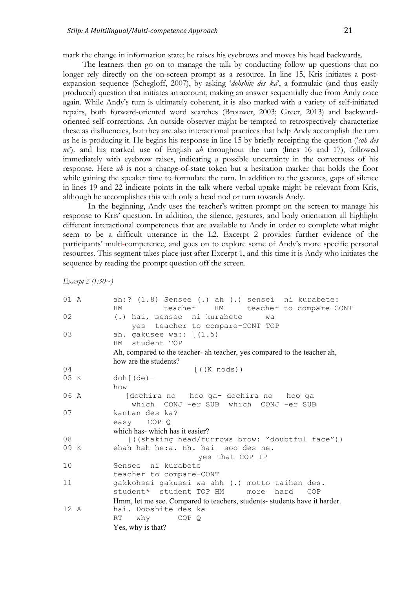mark the change in information state; he raises his eyebrows and moves his head backwards.

The learners then go on to manage the talk by conducting follow up questions that no longer rely directly on the on-screen prompt as a resource. In line 15, Kris initiates a postexpansion sequence (Schegloff, 2007), by asking '*dohshite des ka*', a formulaic (and thus easily produced) question that initiates an account, making an answer sequentially due from Andy once again. While Andy's turn is ultimately coherent, it is also marked with a variety of self-initiated repairs, both forward-oriented word searches (Brouwer, 2003; Greer, 2013) and backwardoriented self-corrections. An outside observer might be tempted to retrospectively characterize these as disfluencies, but they are also interactional practices that help Andy accomplish the turn as he is producing it. He begins his response in line 15 by briefly receipting the question ('*soh des ne*')*,* and his marked use of English *ah* throughout the turn (lines 16 and 17), followed immediately with eyebrow raises, indicating a possible uncertainty in the correctness of his response. Here *ah* is not a change-of-state token but a hesitation marker that holds the floor while gaining the speaker time to formulate the turn. In addition to the gestures, gaps of silence in lines 19 and 22 indicate points in the talk where verbal uptake might be relevant from Kris, although he accomplishes this with only a head nod or turn towards Andy.

In the beginning, Andy uses the teacher's written prompt on the screen to manage his response to Kris' question. In addition, the silence, gestures, and body orientation all highlight different interactional competences that are available to Andy in order to complete what might seem to be a difficult utterance in the L2. Excerpt 2 provides further evidence of the participants' multi-competence, and goes on to explore some of Andy's more specific personal resources. This segment takes place just after Excerpt 1, and this time it is Andy who initiates the sequence by reading the prompt question off the screen.

```
Excerpt 2 (1:30~)
```

| 01 A           | ah:? (1.8) Sensee (.) ah (.) sensei ni kurabete:                         |
|----------------|--------------------------------------------------------------------------|
|                | teacher HM<br>teacher to compare-CONT<br>HM                              |
| 02             | (.) hai, sensee ni kurabete<br>wa                                        |
|                | yes teacher to compare-CONT TOP                                          |
| 03             | ah. gakusee wa:: $(1.5)$                                                 |
|                | student TOP<br>HM                                                        |
|                | Ah, compared to the teacher- ah teacher, yes compared to the teacher ah, |
|                | how are the students?                                                    |
| 0 <sub>4</sub> | $($ ( $(K \text{ nodes})$ )                                              |
| 05 K           | $doh([de)-$                                                              |
|                | how                                                                      |
| 06 A           | [dochira no hoo ga- dochira no hoo ga                                    |
|                | which CONJ -er SUB which CONJ -er SUB                                    |
| 07             | kantan des ka?                                                           |
|                | easy COP Q                                                               |
|                | which has-which has it easier?                                           |
| 08             | [((shaking head/furrows brow: "doubtful face"))                          |
| 09 K           | ehah hah he:a. Hh. hai soo des ne.                                       |
|                |                                                                          |
|                | yes that COP IP                                                          |
| 10             | Sensee ni kurabete                                                       |
|                | teacher to compare-CONT                                                  |
| 11             | gakkohsei gakusei wa ahh (.) motto taihen des.                           |
|                | student* student TOP HM<br>more hard<br>COP                              |
|                | Hmm, let me see. Compared to teachers, students-students have it harder. |
| $12 \text{ A}$ | hai. Dooshite des ka                                                     |
|                | RT.<br>why<br>COP O                                                      |
|                | Yes, why is that?                                                        |
|                |                                                                          |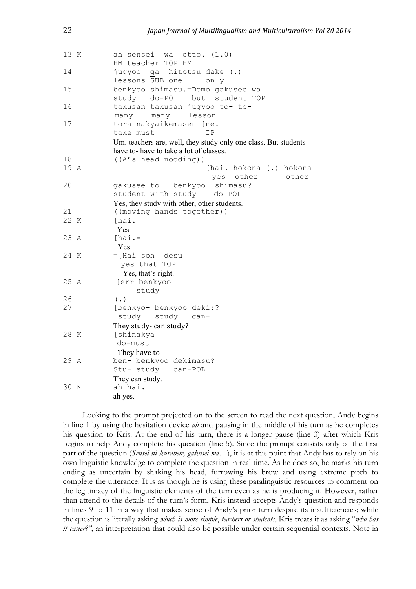| 13 K | ah sensei<br>etto. $(1.0)$<br>wa<br>HM teacher TOP HM                     |
|------|---------------------------------------------------------------------------|
| 14   | jugyoo ga hitotsu dake (.)<br>lessons SUB one<br>only                     |
| 15   | benkyoo shimasu.=Demo gakusee wa<br>study<br>do-POL<br>but<br>student TOP |
| 16   | takusan takusan jugyoo to- to-<br>lesson                                  |
| 17   | many<br>many<br>tora nakyaikemasen [ne.                                   |
|      | <b>TP</b><br>take must                                                    |
|      | Um. teachers are, well, they study only one class. But students           |
|      | have to-have to take a lot of classes.                                    |
| 18   | ((A's head nodding))                                                      |
| 19 A | [hai. hokona (.) hokona                                                   |
|      | other<br>other<br>yes                                                     |
| 20   | gakusee to<br>benkyoo shimasu?                                            |
|      | student with study<br>do-POL                                              |
|      | Yes, they study with other, other students.                               |
| 21   | ((moving hands together))                                                 |
| 22 K | [hai.                                                                     |
| 23 A | Yes<br>$[hai. =$                                                          |
|      | Yes                                                                       |
| 24 K | $=$ [Hai soh<br>desu                                                      |
|      | yes that TOP                                                              |
|      | Yes, that's right.                                                        |
| 25 A | [err benkyoo                                                              |
|      | study                                                                     |
| 26   | $(\cdot, \cdot)$                                                          |
| 27   | [benkyo- benkyoo deki:?                                                   |
|      | study<br>study<br>$can-$                                                  |
|      | They study- can study?                                                    |
| 28 K | [shinakya                                                                 |
|      | do-must                                                                   |
|      | They have to                                                              |
| 29 A | ben- benkyoo dekimasu?                                                    |
|      | Stu- study can-POL                                                        |
|      | They can study.                                                           |
| 30 K | ah hai.                                                                   |
|      | ah yes.                                                                   |

Looking to the prompt projected on to the screen to read the next question, Andy begins in line 1 by using the hesitation device *ah* and pausing in the middle of his turn as he completes his question to Kris. At the end of his turn, there is a longer pause (line 3) after which Kris begins to help Andy complete his question (line 5). Since the prompt consists only of the first part of the question (*Sensei ni kurabete, gakusei wa*…), it is at this point that Andy has to rely on his own linguistic knowledge to complete the question in real time. As he does so, he marks his turn ending as uncertain by shaking his head, furrowing his brow and using extreme pitch to complete the utterance. It is as though he is using these paralinguistic resources to comment on the legitimacy of the linguistic elements of the turn even as he is producing it. However, rather than attend to the details of the turn's form, Kris instead accepts Andy's question and responds in lines 9 to 11 in a way that makes sense of Andy's prior turn despite its insufficiencies; while the question is literally asking *which is more simple*, *teachers or students*, Kris treats it as asking "*who has it easier?"*, an interpretation that could also be possible under certain sequential contexts. Note in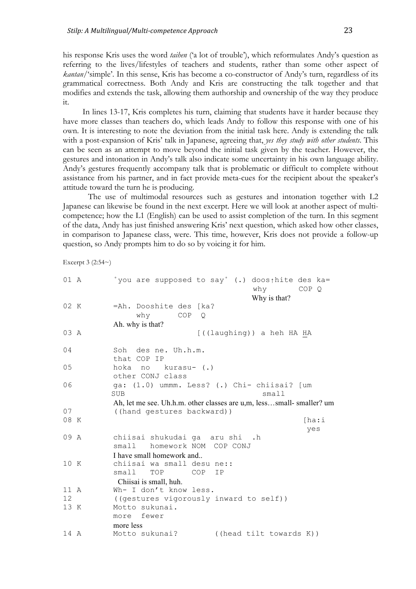his response Kris uses the word *taihen* ('a lot of trouble'), which reformulates Andy's question as referring to the lives/lifestyles of teachers and students, rather than some other aspect of *kantan*/'simple'. In this sense, Kris has become a co-constructor of Andy's turn, regardless of its grammatical correctness. Both Andy and Kris are constructing the talk together and that modifies and extends the task, allowing them authorship and ownership of the way they produce it.

In lines 13-17, Kris completes his turn, claiming that students have it harder because they have more classes than teachers do, which leads Andy to follow this response with one of his own. It is interesting to note the deviation from the initial task here. Andy is extending the talk with a post-expansion of Kris' talk in Japanese, agreeing that, *yes they study with other students*. This can be seen as an attempt to move beyond the initial task given by the teacher. However, the gestures and intonation in Andy's talk also indicate some uncertainty in his own language ability. Andy's gestures frequently accompany talk that is problematic or difficult to complete without assistance from his partner, and in fact provide meta-cues for the recipient about the speaker's attitude toward the turn he is producing.

The use of multimodal resources such as gestures and intonation together with L2 Japanese can likewise be found in the next excerpt. Here we will look at another aspect of multicompetence; how the L1 (English) can be used to assist completion of the turn. In this segment of the data, Andy has just finished answering Kris' next question, which asked how other classes, in comparison to Japanese class, were. This time, however, Kris does not provide a follow-up question, so Andy prompts him to do so by voicing it for him.

Excerpt  $3(2:54)$ 

| 01 A | 'you are supposed to say' (.) doosthite des ka=<br>why<br>COP Q      |
|------|----------------------------------------------------------------------|
|      | Why is that?                                                         |
| 02 K | =Ah. Dooshite des [ka?<br>why<br>$COP$ $Q$                           |
|      | Ah. why is that?                                                     |
| 03 A | [((laughing)) a heh HA HA                                            |
| 04   | Soh des ne. Uh.h.m.<br>that COP IP                                   |
| 05   | hoka<br>no<br>$kurasu-$ (.)<br>other CONJ class                      |
| 06   | ga: (1.0) ummm. Less? (.) Chi- chiisai? [um<br>SUB<br>small          |
|      | Ah, let me see. Uh.h.m. other classes are u,m, lesssmall-smaller? um |
| 07   | ((hand gestures backward))                                           |
| 08 K | [ha:i]<br>yes                                                        |
| 09 A | chiisai shukudai ga aru shi .h                                       |
|      | homework NOM COP CONJ<br>smal1                                       |
|      | I have small homework and                                            |
| 10 K | chiisai wa small desu ne::                                           |
|      | small1<br>TOP<br>COP<br>IP                                           |
|      | Chiisai is small, huh.                                               |
| 11 A | Wh- I don't know less.                                               |
| 12   | ((gestures vigorously inward to self))                               |
| 13 K | Motto sukunai.                                                       |
|      | more fewer                                                           |
|      | more less                                                            |
| 14 A | Motto sukunai?<br>((head tilt towards K))                            |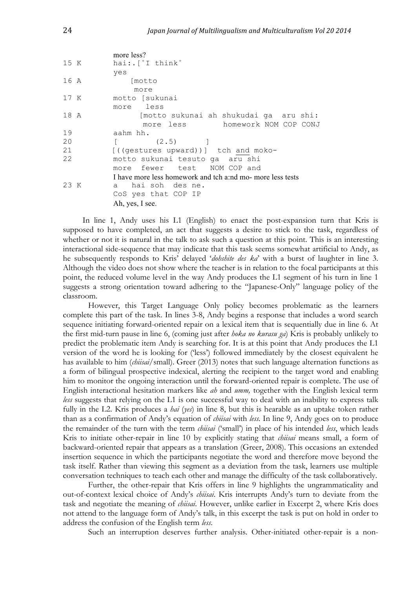```
more less?
15 K hai:.[˚I think˚
         yes
16 A [motto 
              more
17 K motto [sukunai
         more less
18 A [motto sukunai ah shukudai ga aru shi: 
               more less homework NOM COP CONJ 
19 aahm hh. 
20 [ (2.5) ]
21 [((gestures upward))] tch and moko-
22 motto sukunai tesuto ga aru shi
         more fewer test NOM COP and
         I have more less homework and tch a:nd mo- more less tests
23 K a hai soh des ne.
         CoS yes that COP IP
         Ah, yes, I see.
```
In line 1, Andy uses his L1 (English) to enact the post-expansion turn that Kris is supposed to have completed, an act that suggests a desire to stick to the task, regardless of whether or not it is natural in the talk to ask such a question at this point. This is an interesting interactional side-sequence that may indicate that this task seems somewhat artificial to Andy, as he subsequently responds to Kris' delayed '*dohshite des ka*' with a burst of laughter in line 3. Although the video does not show where the teacher is in relation to the focal participants at this point, the reduced volume level in the way Andy produces the L1 segment of his turn in line 1 suggests a strong orientation toward adhering to the "Japanese-Only" language policy of the classroom.

However, this Target Language Only policy becomes problematic as the learners complete this part of the task. In lines 3-8, Andy begins a response that includes a word search sequence initiating forward-oriented repair on a lexical item that is sequentially due in line 6. At the first mid-turn pause in line 6, (coming just after *hoka no kurasu ga*) Kris is probably unlikely to predict the problematic item Andy is searching for. It is at this point that Andy produces the L1 version of the word he is looking for ('less') followed immediately by the closest equivalent he has available to him (*chiisai*/small). Greer (2013) notes that such language alternation functions as a form of bilingual prospective indexical, alerting the recipient to the target word and enabling him to monitor the ongoing interaction until the forward-oriented repair is complete. The use of English interactional hesitation markers like *ah* and *umm,* together with the English lexical term *less* suggests that relying on the L1 is one successful way to deal with an inability to express talk fully in the L2. Kris produces a *hai* (*yes*) in line 8, but this is hearable as an uptake token rather than as a confirmation of Andy's equation of *chiisai* with *less.* In line 9, Andy goes on to produce the remainder of the turn with the term *chiisai* ('small') in place of his intended *less*, which leads Kris to initiate other-repair in line 10 by explicitly stating that *chiisai* means small, a form of backward-oriented repair that appears as a translation (Greer, 2008). This occasions an extended insertion sequence in which the participants negotiate the word and therefore move beyond the task itself. Rather than viewing this segment as a deviation from the task, learners use multiple conversation techniques to teach each other and manage the difficulty of the task collaboratively.

Further, the other-repair that Kris offers in line 9 highlights the ungrammaticality and out-of-context lexical choice of Andy's *chiisai*. Kris interrupts Andy's turn to deviate from the task and negotiate the meaning of *chiisai*. However, unlike earlier in Excerpt 2, where Kris does not attend to the language form of Andy's talk, in this excerpt the task is put on hold in order to address the confusion of the English term *less*.

Such an interruption deserves further analysis. Other-initiated other-repair is a non-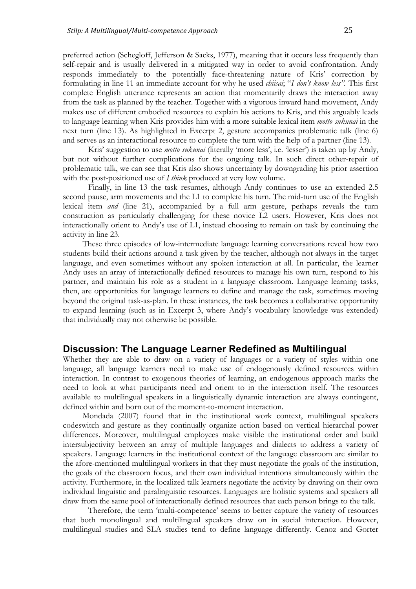preferred action (Schegloff, Jefferson & Sacks, 1977), meaning that it occurs less frequently than self-repair and is usually delivered in a mitigated way in order to avoid confrontation. Andy responds immediately to the potentially face-threatening nature of Kris' correction by formulating in line 11 an immediate account for why he used *chiisai*; "*I don't know less".* This first complete English utterance represents an action that momentarily draws the interaction away from the task as planned by the teacher. Together with a vigorous inward hand movement, Andy makes use of different embodied resources to explain his actions to Kris, and this arguably leads to language learning when Kris provides him with a more suitable lexical item *motto sukunai* in the next turn (line 13). As highlighted in Excerpt 2, gesture accompanies problematic talk (line 6) and serves as an interactional resource to complete the turn with the help of a partner (line 13).

Kris' suggestion to use *motto sukunai* (literally 'more less', i.e. 'lesser') is taken up by Andy, but not without further complications for the ongoing talk. In such direct other-repair of problematic talk, we can see that Kris also shows uncertainty by downgrading his prior assertion with the post-positioned use of *I think* produced at very low volume.

Finally, in line 13 the task resumes, although Andy continues to use an extended 2.5 second pause, arm movements and the L1 to complete his turn. The mid-turn use of the English lexical item *and* (line 21), accompanied by a full arm gesture, perhaps reveals the turn construction as particularly challenging for these novice L2 users. However, Kris does not interactionally orient to Andy's use of L1, instead choosing to remain on task by continuing the activity in line 23.

These three episodes of low-intermediate language learning conversations reveal how two students build their actions around a task given by the teacher, although not always in the target language, and even sometimes without any spoken interaction at all. In particular, the learner Andy uses an array of interactionally defined resources to manage his own turn, respond to his partner, and maintain his role as a student in a language classroom. Language learning tasks, then, are opportunities for language learners to define and manage the task, sometimes moving beyond the original task-as-plan. In these instances, the task becomes a collaborative opportunity to expand learning (such as in Excerpt 3, where Andy's vocabulary knowledge was extended) that individually may not otherwise be possible.

#### **Discussion: The Language Learner Redefined as Multilingual**

Whether they are able to draw on a variety of languages or a variety of styles within one language, all language learners need to make use of endogenously defined resources within interaction. In contrast to exogenous theories of learning, an endogenous approach marks the need to look at what participants need and orient to in the interaction itself. The resources available to multilingual speakers in a linguistically dynamic interaction are always contingent, defined within and born out of the moment-to-moment interaction.

Mondada (2007) found that in the institutional work context, multilingual speakers codeswitch and gesture as they continually organize action based on vertical hierarchal power differences. Moreover, multilingual employees make visible the institutional order and build intersubjectivity between an array of multiple languages and dialects to address a variety of speakers. Language learners in the institutional context of the language classroom are similar to the afore-mentioned multilingual workers in that they must negotiate the goals of the institution, the goals of the classroom focus, and their own individual intentions simultaneously within the activity. Furthermore, in the localized talk learners negotiate the activity by drawing on their own individual linguistic and paralinguistic resources. Languages are holistic systems and speakers all draw from the same pool of interactionally defined resources that each person brings to the talk.

Therefore, the term 'multi-competence' seems to better capture the variety of resources that both monolingual and multilingual speakers draw on in social interaction. However, multilingual studies and SLA studies tend to define language differently. Cenoz and Gorter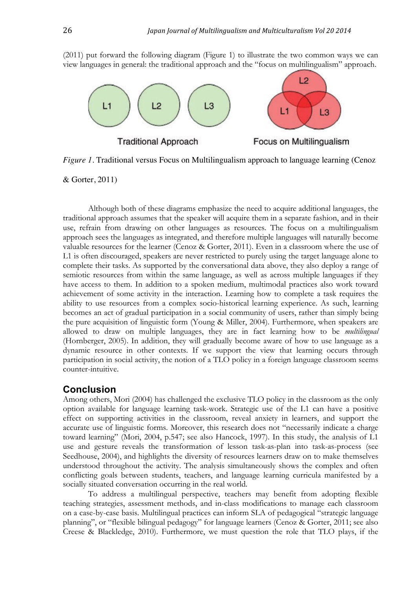(2011) put forward the following diagram (Figure 1) to illustrate the two common ways we can view languages in general: the traditional approach and the "focus on multilingualism" approach.



*Figure 1*. Traditional versus Focus on Multilingualism approach to language learning (Cenoz

& Gorter, 2011)

Although both of these diagrams emphasize the need to acquire additional languages, the traditional approach assumes that the speaker will acquire them in a separate fashion, and in their use, refrain from drawing on other languages as resources. The focus on a multilingualism approach sees the languages as integrated, and therefore multiple languages will naturally become valuable resources for the learner (Cenoz & Gorter, 2011). Even in a classroom where the use of L1 is often discouraged, speakers are never restricted to purely using the target language alone to complete their tasks. As supported by the conversational data above, they also deploy a range of semiotic resources from within the same language, as well as across multiple languages if they have access to them. In addition to a spoken medium, multimodal practices also work toward achievement of some activity in the interaction. Learning how to complete a task requires the ability to use resources from a complex socio-historical learning experience. As such, learning becomes an act of gradual participation in a social community of users, rather than simply being the pure acquisition of linguistic form (Young & Miller, 2004). Furthermore, when speakers are allowed to draw on multiple languages, they are in fact learning how to be *multilingual* (Hornberger, 2005). In addition, they will gradually become aware of how to use language as a dynamic resource in other contexts. If we support the view that learning occurs through participation in social activity, the notion of a TLO policy in a foreign language classroom seems counter-intuitive.

### **Conclusion**

Among others, Mori (2004) has challenged the exclusive TLO policy in the classroom as the only option available for language learning task-work. Strategic use of the L1 can have a positive effect on supporting activities in the classroom, reveal anxiety in learners, and support the accurate use of linguistic forms. Moreover, this research does not "necessarily indicate a charge toward learning" (Mori, 2004, p.547; see also Hancock, 1997). In this study, the analysis of L1 use and gesture reveals the transformation of lesson task-as-plan into task-as-process (see Seedhouse, 2004), and highlights the diversity of resources learners draw on to make themselves understood throughout the activity. The analysis simultaneously shows the complex and often conflicting goals between students, teachers, and language learning curricula manifested by a socially situated conversation occurring in the real world.

To address a multilingual perspective, teachers may benefit from adopting flexible teaching strategies, assessment methods, and in-class modifications to manage each classroom on a case-by-case basis. Multilingual practices can inform SLA of pedagogical "strategic language planning", or "flexible bilingual pedagogy" for language learners (Cenoz & Gorter, 2011; see also Creese & Blackledge, 2010). Furthermore, we must question the role that TLO plays, if the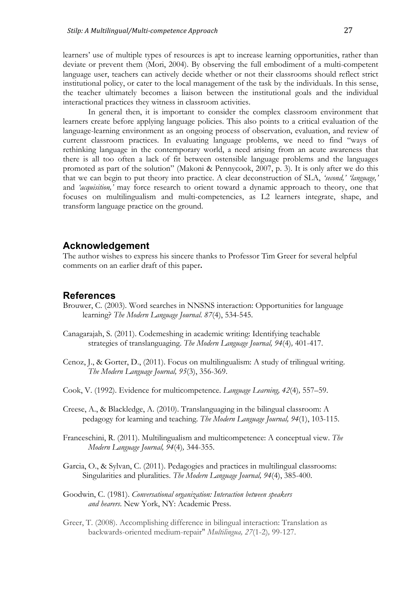learners' use of multiple types of resources is apt to increase learning opportunities, rather than deviate or prevent them (Mori, 2004). By observing the full embodiment of a multi-competent language user, teachers can actively decide whether or not their classrooms should reflect strict institutional policy, or cater to the local management of the task by the individuals. In this sense, the teacher ultimately becomes a liaison between the institutional goals and the individual interactional practices they witness in classroom activities.

In general then, it is important to consider the complex classroom environment that learners create before applying language policies. This also points to a critical evaluation of the language-learning environment as an ongoing process of observation, evaluation, and review of current classroom practices. In evaluating language problems, we need to find "ways of rethinking language in the contemporary world, a need arising from an acute awareness that there is all too often a lack of fit between ostensible language problems and the languages promoted as part of the solution" (Makoni & Pennycook, 2007, p. 3). It is only after we do this that we can begin to put theory into practice. A clear deconstruction of SLA, *'second,' 'language,'*  and *'acquisition,'* may force research to orient toward a dynamic approach to theory, one that focuses on multilingualism and multi-competencies, as L2 learners integrate, shape, and transform language practice on the ground.

### **Acknowledgement**

The author wishes to express his sincere thanks to Professor Tim Greer for several helpful comments on an earlier draft of this paper**.**

### **References**

- Brouwer, C. (2003). Word searches in NNSNS interaction: Opportunities for language learning? *The Modern Language Journal*. *87*(4), 534-545.
- Canagarajah, S. (2011). Codemeshing in academic writing: Identifying teachable strategies of translanguaging. *The Modern Language Journal, 94*(4)*,* 401-417.
- Cenoz, J., & Gorter, D., (2011). Focus on multilingualism: A study of trilingual writing. *The Modern Language Journal, 95*(3), 356-369.
- Cook, V. (1992). Evidence for multicompetence. *Language Learning, 42*(4)*,* 557–59.
- Creese, A., & Blackledge, A. (2010). Translanguaging in the bilingual classroom: A pedagogy for learning and teaching. *The Modern Language Journal, 94*(1), 103-115.
- Franceschini, R. (2011). Multilingualism and multicompetence: A conceptual view. *The Modern Language Journal, 94*(4)*,* 344-355.
- Garcia, O., & Sylvan, C. (2011). Pedagogies and practices in multilingual classrooms: Singularities and pluralities. *The Modern Language Journal, 94*(4), 385-400.
- Goodwin, C. (1981). *Conversational organization: Interaction between speakers and hearers*. New York, NY: Academic Press.
- Greer, T. (2008). Accomplishing difference in bilingual interaction: Translation as backwards-oriented medium-repair" *Multilingua, 27*(1-2)*,* 99-127.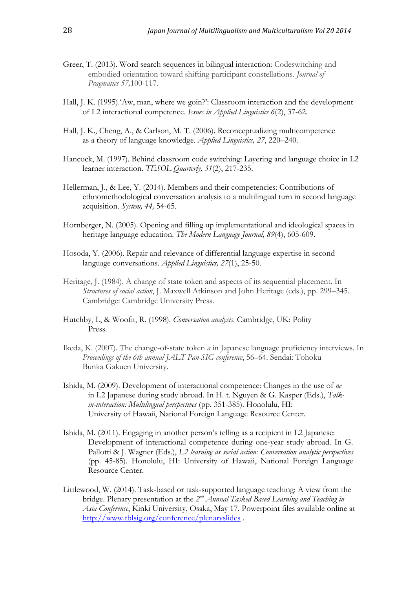- Greer, T. (2013). Word search sequences in bilingual interaction: Codeswitching and embodied orientation toward shifting participant constellations. *Journal of Pragmatics 57,*100-117.
- Hall, J. K. (1995). Aw, man, where we goin?': Classroom interaction and the development of L2 interactional competence. *Issues in Applied Linguistics 6*(2), 37-62.
- Hall, J. K., Cheng, A., & Carlson, M. T. (2006). Reconceptualizing multicompetence as a theory of language knowledge. *Applied Linguistics, 27*, 220–240.
- Hancock, M. (1997). Behind classroom code switching: Layering and language choice in L2 learner interaction. *TESOL Quarterly, 31*(2), 217-235.
- Hellerman, J., & Lee, Y. (2014). Members and their competencies: Contributions of ethnomethodological conversation analysis to a multilingual turn in second language acquisition. *System, 44,* 54-65.
- Hornberger, N. (2005). Opening and filling up implementational and ideological spaces in heritage language education. *The Modern Language Journal, 89*(4), 605-609.
- Hosoda, Y. (2006). Repair and relevance of differential language expertise in second language conversations. *Applied Linguistics, 27*(1), 25-50.
- Heritage, J. (1984). A change of state token and aspects of its sequential placement. In *Structures of social action*, J. Maxwell Atkinson and John Heritage (eds.), pp. 299–345. Cambridge: Cambridge University Press.
- Hutchby, I., & Woofit, R. (1998). *Conversation analysis*. Cambridge, UK: Polity Press.
- Ikeda, K. (2007). The change-of-state token *a* in Japanese language proficiency interviews. In *Proceedings of the 6th annual JALT Pan-SIG conference*, 56–64. Sendai: Tohoku Bunka Gakuen University.
- Ishida, M. (2009). Development of interactional competence: Changes in the use of *ne* in L2 Japanese during study abroad. In H. t. Nguyen & G. Kasper (Eds.), *Talkin-interaction: Multilingual perspectives* (pp. 351-385). Honolulu, HI: University of Hawaii, National Foreign Language Resource Center.
- Ishida, M. (2011). Engaging in another person's telling as a recipient in L2 Japanese: Development of interactional competence during one-year study abroad. In G. Pallotti & J. Wagner (Eds.), *L2 learning as social action: Conversation analytic perspectives*  (pp. 45-85). Honolulu, HI: University of Hawaii, National Foreign Language Resource Center.
- Littlewood, W. (2014). Task-based or task-supported language teaching: A view from the bridge. Plenary presentation at the *2nd Annual Tasked Based Learning and Teaching in Asia Conference*, Kinki University, Osaka, May 17. Powerpoint files available online at http://www.tblsig.org/conference/plenaryslides .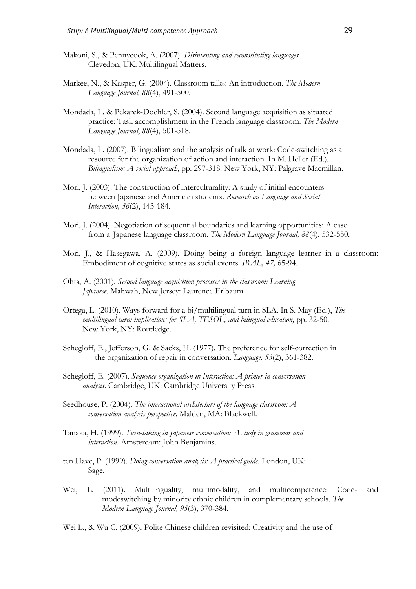- Makoni, S., & Pennycook, A. (2007). *Disinventing and reconstituting languages.* Clevedon, UK: Multilingual Matters.
- Markee, N., & Kasper, G. (2004). Classroom talks: An introduction. *The Modern Language Journal, 88*(4), 491-500.
- Mondada, L. & Pekarek-Doehler, S. (2004). Second language acquisition as situated practice: Task accomplishment in the French language classroom. *The Modern Language Journal*, *88*(4), 501-518.
- Mondada, L. (2007). Bilingualism and the analysis of talk at work: Code-switching as a resource for the organization of action and interaction. In M. Heller (Ed.), *Bilingualism: A social approach,* pp. 297-318. New York, NY: Palgrave Macmillan.
- Mori, J. (2003). The construction of interculturality: A study of initial encounters between Japanese and American students. *Research on Language and Social Interaction, 36*(2), 143-184.
- Mori, J. (2004). Negotiation of sequential boundaries and learning opportunities: A case from a Japanese language classroom. *The Modern Language Journal, 88*(4), 532-550.
- Mori, J., & Hasegawa, A. (2009). Doing being a foreign language learner in a classroom: Embodiment of cognitive states as social events. *IRAL, 47,* 65-94.
- Ohta, A. (2001). *Second language acquisition processes in the classroom: Learning Japanese*. Mahwah, New Jersey: Laurence Erlbaum.
- Ortega, L. (2010). Ways forward for a bi/multilingual turn in SLA. In S. May (Ed.), *The multilingual turn: implications for SLA, TESOL, and bilingual education,* pp. 32-50. New York, NY: Routledge.
- Schegloff, E., Jefferson, G. & Sacks, H. (1977). The preference for self-correction in the organization of repair in conversation. *Language, 53*(2), 361-382.
- Schegloff, E. (2007). *Sequence organization in Interaction: A primer in conversation analysis*. Cambridge, UK: Cambridge University Press.
- Seedhouse, P. (2004). *The interactional architecture of the language classroom: A conversation analysis perspective*. Malden, MA: Blackwell.
- Tanaka, H. (1999). *Turn-taking in Japanese conversation: A study in grammar and interaction*. Amsterdam: John Benjamins.
- ten Have, P. (1999). *Doing conversation analysis: A practical guide*. London, UK: Sage.
- Wei, L. (2011). Multilinguality, multimodality, and multicompetence: Code- and modeswitching by minority ethnic children in complementary schools. *The Modern Language Journal, 95*(3), 370-384.
- Wei L., & Wu C. (2009). Polite Chinese children revisited: Creativity and the use of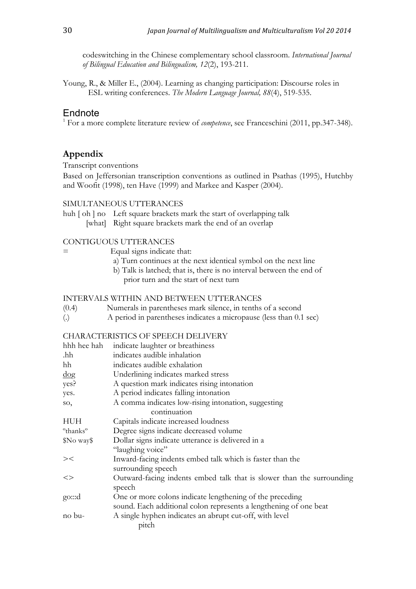codeswitching in the Chinese complementary school classroom. *International Journal of Bilingual Education and Bilingualism, 12*(2), 193-211.

Young, R., & Miller E., (2004). Learning as changing participation: Discourse roles in ESL writing conferences. *The Modern Language Journal, 88*(4), 519-535.

### **Endnote**

<sup>1</sup> For a more complete literature review of *competence*, see Franceschini (2011, pp.347-348).

## **Appendix**

Transcript conventions

Based on Jeffersonian transcription conventions as outlined in Psathas (1995), Hutchby and Woofit (1998), ten Have (1999) and Markee and Kasper (2004).

### SIMULTANEOUS UTTERANCES

huh [ oh ] no Left square brackets mark the start of overlapping talk [what] Right square brackets mark the end of an overlap

### CONTIGUOUS UTTERANCES

- = Equal signs indicate that:
	- a) Turn continues at the next identical symbol on the next line
	- b) Talk is latched; that is, there is no interval between the end of prior turn and the start of next turn

### INTERVALS WITHIN AND BETWEEN UTTERANCES

- (0.4) Numerals in parentheses mark silence, in tenths of a second
- (.) A period in parentheses indicates a micropause (less than 0.1 sec)

### CHARACTERISTICS OF SPEECH DELIVERY

| hhh hee hah                      | indicate laughter or breathiness                                      |
|----------------------------------|-----------------------------------------------------------------------|
| .hh                              | indicates audible inhalation                                          |
| hh                               | indicates audible exhalation                                          |
| $\frac{d}{dg}$                   | Underlining indicates marked stress                                   |
| yes?                             | A question mark indicates rising intonation                           |
| yes.                             | A period indicates falling intonation                                 |
| SO,                              | A comma indicates low-rising intonation, suggesting                   |
|                                  | continuation                                                          |
| HUH                              | Capitals indicate increased loudness                                  |
| <sup>o</sup> thanks <sup>o</sup> | Degree signs indicate decreased volume                                |
| \$No way\$                       | Dollar signs indicate utterance is delivered in a                     |
|                                  | "laughing voice"                                                      |
| $>\lt$                           | Inward-facing indents embed talk which is faster than the             |
|                                  | surrounding speech                                                    |
| $\ll$                            | Outward-facing indents embed talk that is slower than the surrounding |
|                                  | speech                                                                |
| $g$ o $: d$                      | One or more colons indicate lengthening of the preceding              |
|                                  | sound. Each additional colon represents a lengthening of one beat     |
| no bu-                           | A single hyphen indicates an abrupt cut-off, with level               |
|                                  | pitch                                                                 |